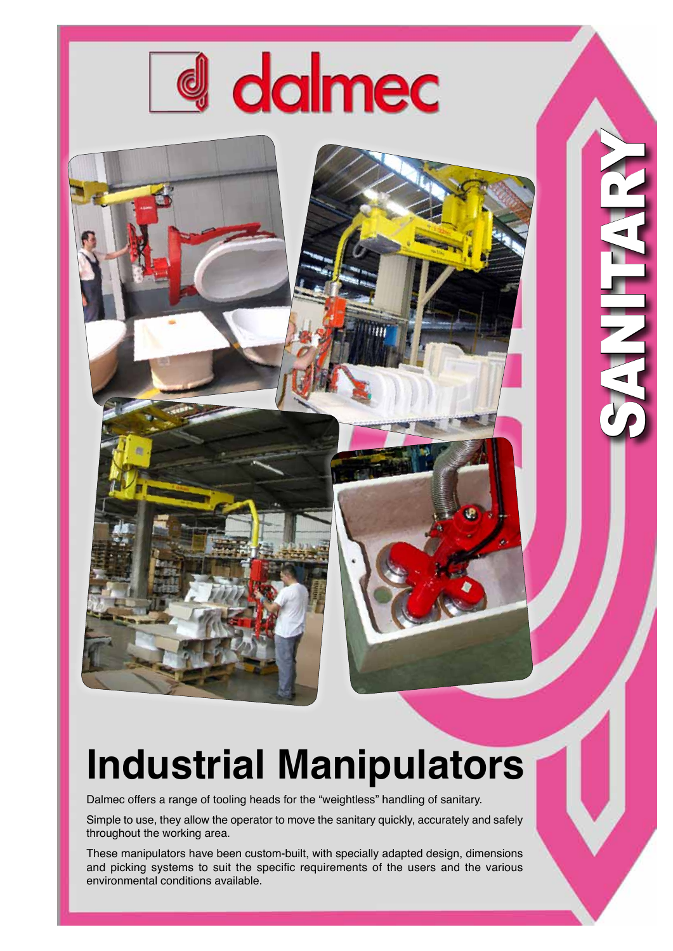

1301

SANITARY

ш

÷.

## **Industrial Manipulators**

Dalmec offers a range of tooling heads for the "weightless" handling of sanitary.

Simple to use, they allow the operator to move the sanitary quickly, accurately and safely throughout the working area.

These manipulators have been custom-built, with specially adapted design, dimensions and picking systems to suit the specific requirements of the users and the various environmental conditions available.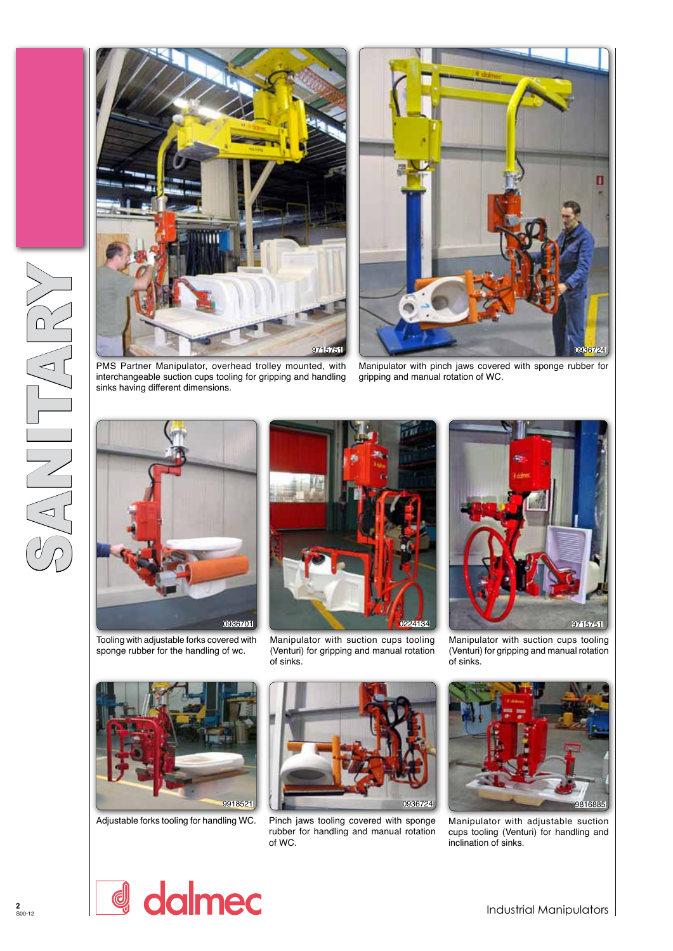



PMS Partner Manipulator, overhead trolley mounted, with interchangeable suction cups tooling for gripping and handling sinks having different dimensions.

Manipulator with pinch jaws covered with sponge rubber for gripping and manual rotation of WC.



Tooling with adjustable forks covered with sponge rubber for the handling of wc.



Manipulator with suction cups tooling (Venturi) for gripping and manual rotation of sinks.



Manipulator with suction cups tooling (Venturi) for gripping and manual rotation of sinks.



Adjustable forks tooling for handling WC.



Pinch jaws tooling covered with sponge rubber for handling and manual rotation of WC.



Manipulator with adjustable suction cups tooling (Venturi) for handling and inclination of sinks.

dalmec d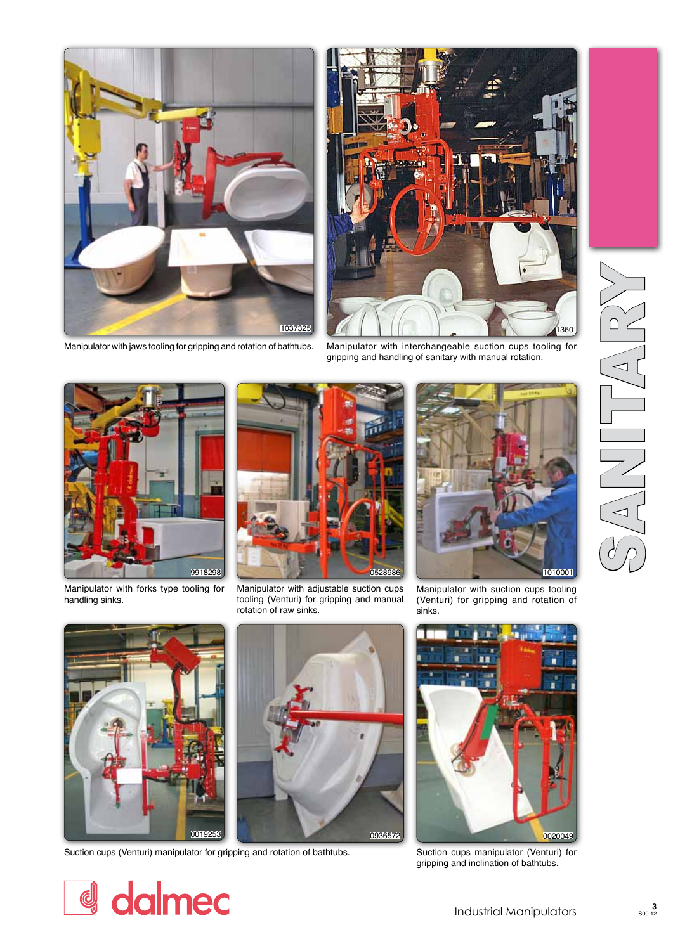

Manipulator with jaws tooling for gripping and rotation of bathtubs. Manipulator with interchangeable suction cups tooling for



gripping and handling of sanitary with manual rotation.



Manipulator with forks type tooling for handling sinks.



Manipulator with adjustable suction cups tooling (Venturi) for gripping and manual rotation of raw sinks.



Manipulator with suction cups tooling (Venturi) for gripping and rotation of sinks.



d dalmec

Suction cups (Venturi) manipulator for gripping and rotation of bathtubs. Suction cups manipulator (Venturi) for





gripping and inclination of bathtubs.